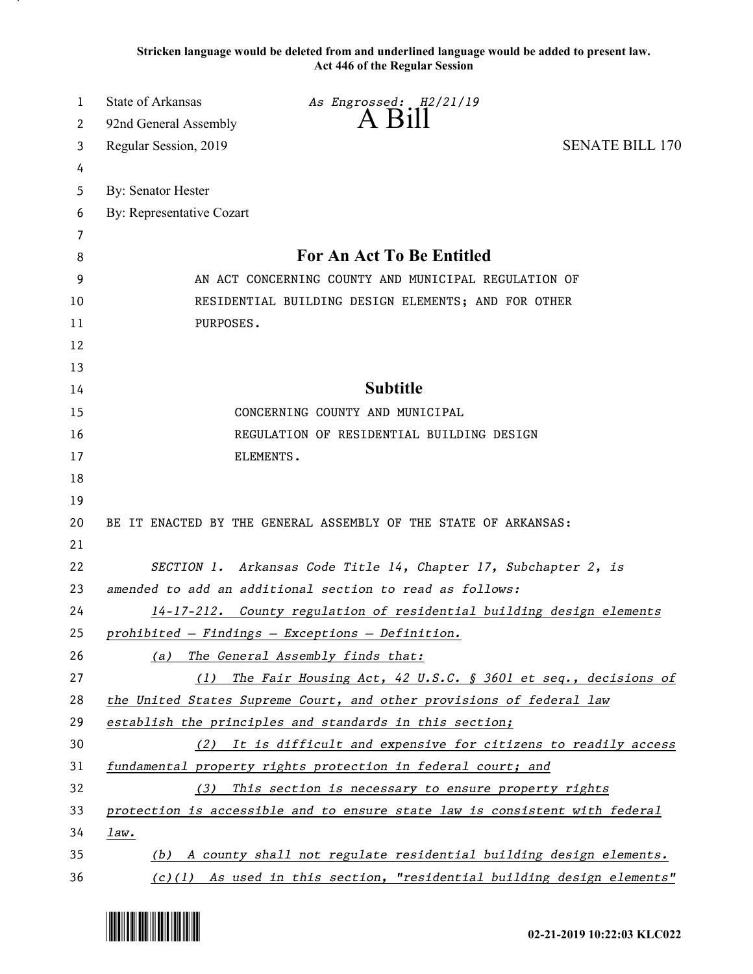**Stricken language would be deleted from and underlined language would be added to present law. Act 446 of the Regular Session**

| 1  | <b>State of Arkansas</b><br>As Engrossed: H2/21/19                          |  |
|----|-----------------------------------------------------------------------------|--|
| 2  | $A$ Bill<br>92nd General Assembly                                           |  |
| 3  | <b>SENATE BILL 170</b><br>Regular Session, 2019                             |  |
| 4  |                                                                             |  |
| 5  | <b>By: Senator Hester</b>                                                   |  |
| 6  | By: Representative Cozart                                                   |  |
| 7  |                                                                             |  |
| 8  | <b>For An Act To Be Entitled</b>                                            |  |
| 9  | AN ACT CONCERNING COUNTY AND MUNICIPAL REGULATION OF                        |  |
| 10 | RESIDENTIAL BUILDING DESIGN ELEMENTS; AND FOR OTHER                         |  |
| 11 | PURPOSES.                                                                   |  |
| 12 |                                                                             |  |
| 13 |                                                                             |  |
| 14 | <b>Subtitle</b>                                                             |  |
| 15 | CONCERNING COUNTY AND MUNICIPAL                                             |  |
| 16 | REGULATION OF RESIDENTIAL BUILDING DESIGN                                   |  |
| 17 | ELEMENTS.                                                                   |  |
| 18 |                                                                             |  |
| 19 |                                                                             |  |
| 20 | BE IT ENACTED BY THE GENERAL ASSEMBLY OF THE STATE OF ARKANSAS:             |  |
| 21 |                                                                             |  |
| 22 | SECTION 1. Arkansas Code Title 14, Chapter 17, Subchapter 2, is             |  |
| 23 | amended to add an additional section to read as follows:                    |  |
| 24 | 14-17-212. County regulation of residential building design elements        |  |
| 25 | prohibited - Findings - Exceptions - Definition.                            |  |
| 26 | (a) The General Assembly finds that:                                        |  |
| 27 | The Fair Housing Act, 42 U.S.C. $\S$ 3601 et seq., decisions of<br>(1)      |  |
| 28 | the United States Supreme Court, and other provisions of federal law        |  |
| 29 | establish the principles and standards in this section;                     |  |
| 30 | (2) It is difficult and expensive for citizens to readily access            |  |
| 31 | fundamental property rights protection in federal court; and                |  |
| 32 | This section is necessary to ensure property rights<br>(3)                  |  |
| 33 | protection is accessible and to ensure state law is consistent with federal |  |
| 34 | law.                                                                        |  |
| 35 | (b) A county shall not regulate residential building design elements.       |  |
| 36 | $(c)(1)$ As used in this section, "residential building design elements"    |  |

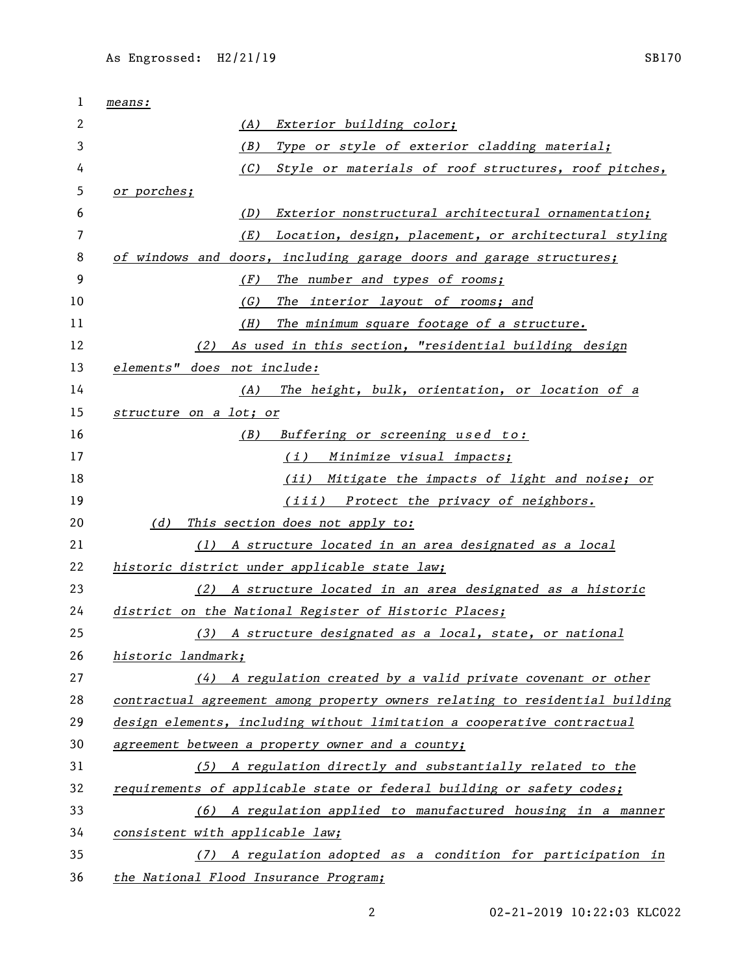| 1  | means:                                                                       |
|----|------------------------------------------------------------------------------|
| 2  | (A)<br>Exterior building color;                                              |
| 3  | Type or style of exterior cladding material;<br>(B)                          |
| 4  | (C) Style or materials of roof structures, roof pitches,                     |
| 5  | or porches;                                                                  |
| 6  | (D)<br>Exterior nonstructural architectural ornamentation;                   |
| 7  | Location, design, placement, or architectural styling<br>(E)                 |
| 8  | of windows and doors, including garage doors and garage structures;          |
| 9  | (F)<br>The number and types of rooms;                                        |
| 10 | (G)<br>The interior layout of rooms; and                                     |
| 11 | The minimum square footage of a structure.<br>(H)                            |
| 12 | As used in this section, "residential building design<br>(2)                 |
| 13 | elements" does not include:                                                  |
| 14 | (A) The height, bulk, orientation, or location of a                          |
| 15 | structure on a lot; or                                                       |
| 16 | Buffering or screening used to:<br>(B)                                       |
| 17 | (i) Minimize visual impacts;                                                 |
| 18 | (ii) Mitigate the impacts of light and noise; or                             |
| 19 | (iii) Protect the privacy of neighbors.                                      |
| 20 | (d)<br>This section does not apply to:                                       |
| 21 | (1) A structure located in an area designated as a local                     |
| 22 | historic district under applicable state law;                                |
| 23 | (2) A structure located in an area designated as a historic                  |
| 24 | district on the National Register of Historic Places;                        |
| 25 | (3) A structure designated as a local, state, or national                    |
| 26 | historic landmark;                                                           |
| 27 | (4) A regulation created by a valid private covenant or other                |
| 28 | contractual agreement among property owners relating to residential building |
| 29 | design elements, including without limitation a cooperative contractual      |
| 30 | agreement between a property owner and a county;                             |
| 31 | (5) A regulation directly and substantially related to the                   |
| 32 | requirements of applicable state or federal building or safety codes;        |
| 33 | (6) A regulation applied to manufactured housing in a manner                 |
| 34 | consistent with applicable law;                                              |
| 35 | (7) A regulation adopted as a condition for participation in                 |
| 36 | the National Flood Insurance Program;                                        |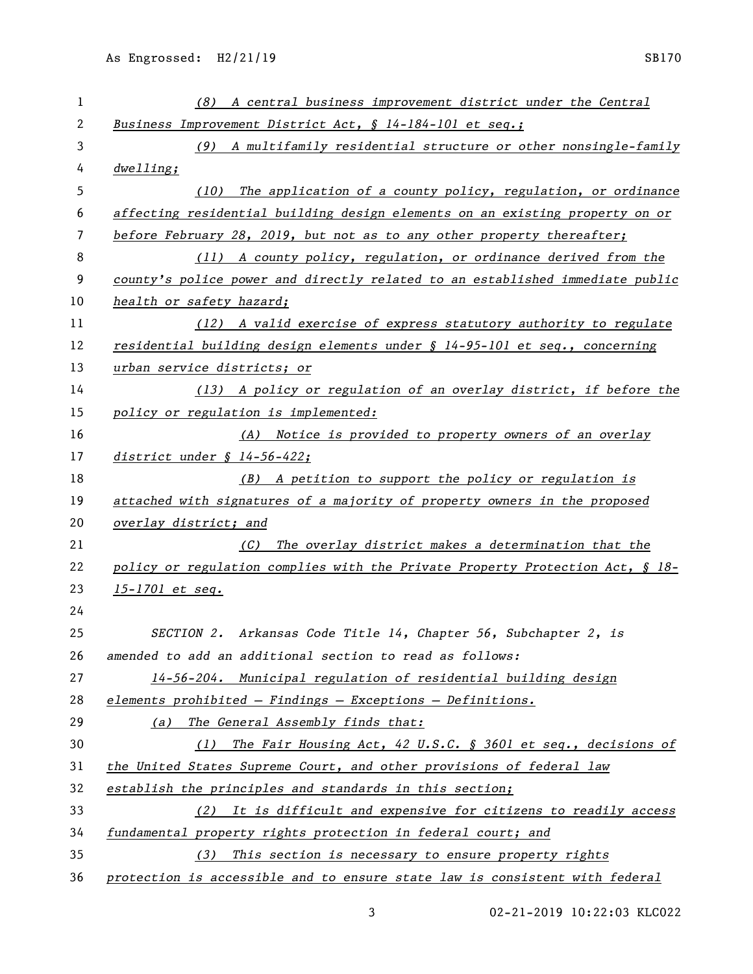| 1  | (8) A central business improvement district under the Central                 |
|----|-------------------------------------------------------------------------------|
| 2  | Business Improvement District Act, § 14-184-101 et seq.;                      |
| 3  | (9) A multifamily residential structure or other nonsingle-family             |
| 4  | dwelling;                                                                     |
| 5  | (10) The application of a county policy, regulation, or ordinance             |
| 6  | affecting residential building design elements on an existing property on or  |
| 7  | before February 28, 2019, but not as to any other property thereafter;        |
| 8  | (11) A county policy, regulation, or ordinance derived from the               |
| 9  | county's police power and directly related to an established immediate public |
| 10 | health or safety hazard;                                                      |
| 11 | (12) A valid exercise of express statutory authority to regulate              |
| 12 | residential building design elements under $\S 14-95-101$ et seq., concerning |
| 13 | urban service districts; or                                                   |
| 14 | (13) A policy or regulation of an overlay district, if before the             |
| 15 | policy or regulation is implemented:                                          |
| 16 | (A) Notice is provided to property owners of an overlay                       |
| 17 | district under § 14-56-422;                                                   |
| 18 | A petition to support the policy or regulation is<br>(B)                      |
| 19 | attached with signatures of a majority of property owners in the proposed     |
| 20 | overlay district; and                                                         |
| 21 | The overlay district makes a determination that the<br>(C)                    |
| 22 | policy or regulation complies with the Private Property Protection Act, § 18- |
| 23 | $15 - 1701$ et seq.                                                           |
| 24 |                                                                               |
| 25 | SECTION 2. Arkansas Code Title 14, Chapter 56, Subchapter 2, is               |
| 26 | amended to add an additional section to read as follows:                      |
| 27 | 14-56-204. Municipal regulation of residential building design                |
| 28 | elements prohibited - Findings - Exceptions - Definitions.                    |
| 29 | The General Assembly finds that:<br>(a)                                       |
| 30 | The Fair Housing Act, 42 U.S.C. § 3601 et seq., decisions of<br>(1)           |
| 31 | the United States Supreme Court, and other provisions of federal law          |
| 32 | establish the principles and standards in this section;                       |
| 33 | (2) It is difficult and expensive for citizens to readily access              |
| 34 | fundamental property rights protection in federal court; and                  |
| 35 | This section is necessary to ensure property rights<br>(3)                    |
| 36 | protection is accessible and to ensure state law is consistent with federal   |

02-21-2019 10:22:03 KLC022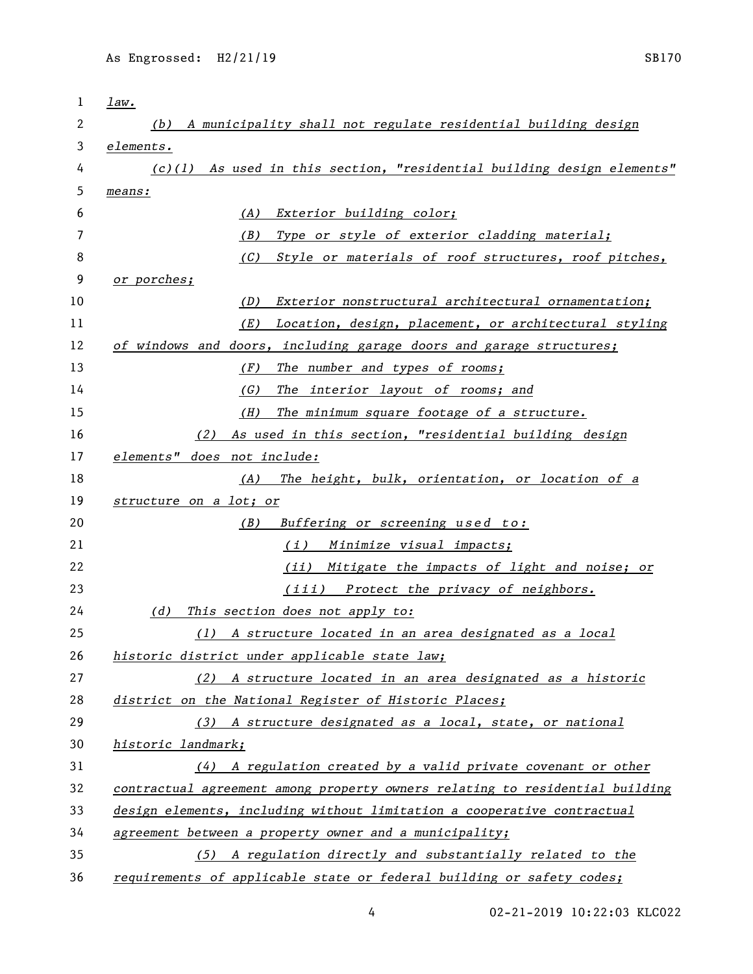| $\mathbf 1$ | law.                                                                         |
|-------------|------------------------------------------------------------------------------|
| 2           | (b) A municipality shall not regulate residential building design            |
| 3           | elements.                                                                    |
| 4           | (c)(1) As used in this section, "residential building design elements"       |
| 5           | means:                                                                       |
| 6           | Exterior building color;<br>(A)                                              |
| 7           | Type or style of exterior cladding material;<br>(B)                          |
| 8           | Style or materials of roof structures, roof pitches,<br>(C)                  |
| 9           | or porches;                                                                  |
| 10          | Exterior nonstructural architectural ornamentation;<br>(D)                   |
| 11          | Location, design, placement, or architectural styling<br>(E)                 |
| 12          | of windows and doors, including garage doors and garage structures;          |
| 13          | (F)<br>The number and types of rooms;                                        |
| 14          | The interior layout of rooms; and<br>(G)                                     |
| 15          | The minimum square footage of a structure.<br>(H)                            |
| 16          | As used in this section, "residential building design<br>(2)                 |
| 17          | elements" does not include:                                                  |
| 18          | The height, bulk, orientation, or location of a<br>(A)                       |
| 19          | structure on a lot; or                                                       |
| 20          | (B)<br>Buffering or screening used to:                                       |
| 21          | (i) Minimize visual impacts;                                                 |
| 22          | <u>(ii) Mitigate the impacts of light and noise; or</u>                      |
| 23          | (iii) Protect the privacy of neighbors.                                      |
| 24          | This section does not apply to:<br>(d)                                       |
| 25          | (1) A structure located in an area designated as a local                     |
| 26          | historic district under applicable state law;                                |
| 27          | (2) A structure located in an area designated as a historic                  |
| 28          | district on the National Register of Historic Places;                        |
| 29          | (3) A structure designated as a local, state, or national                    |
| 30          | historic landmark;                                                           |
| 31          | $(4)$ A regulation created by a valid private covenant or other              |
| 32          | contractual agreement among property owners relating to residential building |
| 33          | design elements, including without limitation a cooperative contractual      |
| 34          | agreement between a property owner and a municipality;                       |
| 35          | (5) A regulation directly and substantially related to the                   |
| 36          | requirements of applicable state or federal building or safety codes;        |

02-21-2019 10:22:03 KLC022